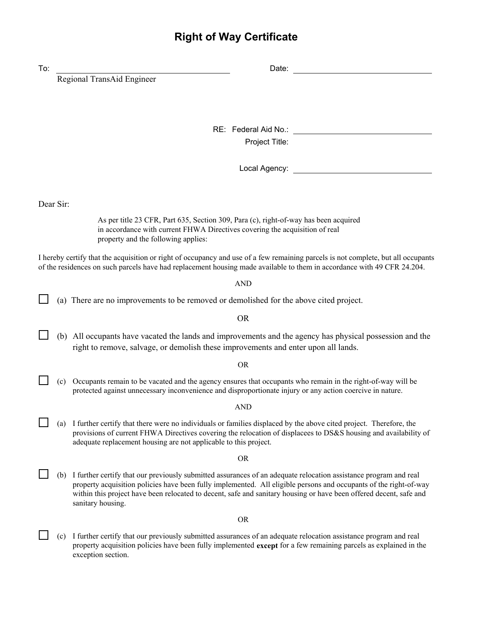## **Right of Way Certificate**

| To: |           | Date:                                                                                                                                                                                                                                                                                                                                                                            |  |  |  |
|-----|-----------|----------------------------------------------------------------------------------------------------------------------------------------------------------------------------------------------------------------------------------------------------------------------------------------------------------------------------------------------------------------------------------|--|--|--|
|     |           | Regional TransAid Engineer                                                                                                                                                                                                                                                                                                                                                       |  |  |  |
|     |           | RE: Federal Aid No.:<br>Project Title:                                                                                                                                                                                                                                                                                                                                           |  |  |  |
|     |           | Local Agency: <b>Accord Agency:</b>                                                                                                                                                                                                                                                                                                                                              |  |  |  |
|     | Dear Sir: |                                                                                                                                                                                                                                                                                                                                                                                  |  |  |  |
|     |           | As per title 23 CFR, Part 635, Section 309, Para (c), right-of-way has been acquired<br>in accordance with current FHWA Directives covering the acquisition of real<br>property and the following applies:                                                                                                                                                                       |  |  |  |
|     |           | I hereby certify that the acquisition or right of occupancy and use of a few remaining parcels is not complete, but all occupants<br>of the residences on such parcels have had replacement housing made available to them in accordance with 49 CFR 24.204.                                                                                                                     |  |  |  |
|     |           | <b>AND</b>                                                                                                                                                                                                                                                                                                                                                                       |  |  |  |
|     |           | (a) There are no improvements to be removed or demolished for the above cited project.                                                                                                                                                                                                                                                                                           |  |  |  |
|     |           | <b>OR</b>                                                                                                                                                                                                                                                                                                                                                                        |  |  |  |
|     |           | (b) All occupants have vacated the lands and improvements and the agency has physical possession and the<br>right to remove, salvage, or demolish these improvements and enter upon all lands.                                                                                                                                                                                   |  |  |  |
|     |           | <b>OR</b>                                                                                                                                                                                                                                                                                                                                                                        |  |  |  |
|     | (c)       | Occupants remain to be vacated and the agency ensures that occupants who remain in the right-of-way will be<br>protected against unnecessary inconvenience and disproportionate injury or any action coercive in nature.                                                                                                                                                         |  |  |  |
|     |           | <b>AND</b>                                                                                                                                                                                                                                                                                                                                                                       |  |  |  |
|     | (a)       | I further certify that there were no individuals or families displaced by the above cited project. Therefore, the<br>provisions of current FHWA Directives covering the relocation of displacees to DS&S housing and availability of<br>adequate replacement housing are not applicable to this project.                                                                         |  |  |  |
|     | <b>OR</b> |                                                                                                                                                                                                                                                                                                                                                                                  |  |  |  |
|     | (b)       | I further certify that our previously submitted assurances of an adequate relocation assistance program and real<br>property acquisition policies have been fully implemented. All eligible persons and occupants of the right-of-way<br>within this project have been relocated to decent, safe and sanitary housing or have been offered decent, safe and<br>sanitary housing. |  |  |  |
|     |           | <b>OR</b>                                                                                                                                                                                                                                                                                                                                                                        |  |  |  |
|     | (c)       | I further certify that our previously submitted assurances of an adequate relocation assistance program and real<br>property acquisition policies have been fully implemented except for a few remaining parcels as explained in the<br>exception section.                                                                                                                       |  |  |  |